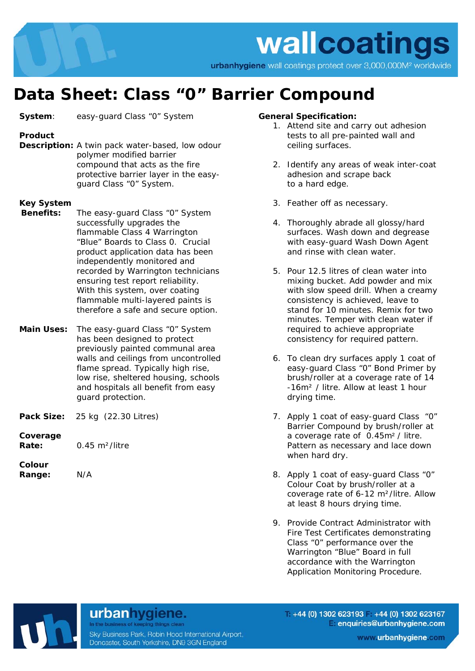

# **Data Sheet: Class "0" Barrier Compound**

**System:** easy-quard Class "0" System

## **Product**

**Description:** A twin pack water-based, low odour polymer modified barrier compound that acts as the fire protective barrier layer in the easyguard Class "0" System.

#### **Key System**

- **Benefits:** The easy-guard Class "0" System successfully upgrades the flammable Class 4 Warrington "Blue" Boards to Class 0. Crucial product application data has been independently monitored and recorded by Warrington technicians ensuring test report reliability. With this system, over coating flammable multi-layered paints is therefore a safe and secure option.
- **Main Uses:** The easy-guard Class "0" System has been designed to protect previously painted communal area walls and ceilings from uncontrolled flame spread. Typically high rise, low rise, sheltered housing, schools and hospitals all benefit from easy guard protection.
- **Pack Size:** 25 kg(22.30 Litres)

**Coverage** 

**Rate:** 0.45 m²/litre

**Colour Range:** N/A

### **General Specification:**

- 1. Attend site and carry out adhesion tests to all pre-painted wall and ceiling surfaces.
- 2. Identify any areas of weak inter-coat adhesion and scrape back to a hard edge.
- 3. Feather off as necessary.
- 4. Thoroughly abrade all glossy/hard surfaces. Wash down and degrease with easy-guard Wash Down Agent and rinse with clean water.
- 5. Pour 12.5 litres of clean water into mixing bucket. Add powder and mix with slow speed drill. When a creamy consistency is achieved, leave to stand for 10 minutes. Remix for two minutes. Temper with clean water if required to achieve appropriate consistency for required pattern.
- 6. To clean dry surfaces apply 1 coat of easy-guard Class "0" Bond Primer by brush/roller at a coverage rate of 14 -16m² / litre. Allow at least 1 hour drying time.
- 7. Apply 1 coat of easy-guard Class "0" Barrier Compound by brush/roller at a coverage rate of 0.45m² / litre. Pattern as necessary and lace down when hard dry.
- 8. Apply 1 coat of easy-guard Class "0" Colour Coat by brush/roller at a coverage rate of 6-12 m²/litre. Allow at least 8 hours drying time.
- 9. Provide Contract Administrator with Fire Test Certificates demonstrating Class "0" performance over the Warrington "Blue" Board in full accordance with the Warrington Application Monitoring Procedure.

# In the business of keeping things clean

urbanhygiene.

Sky Business Park, Robin Hood International Airport, Doncaster, South Yorkshire, DN9 3GN England

 $+44$  (0) 1302 623193 +44 (0) 1302 623167 enquiries@urbanhygiene.com